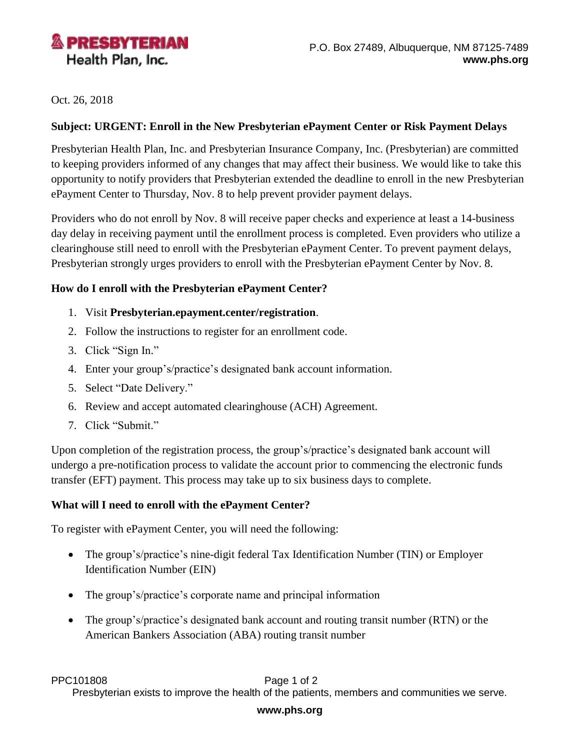

Oct. 26, 2018

## **Subject: URGENT: Enroll in the New Presbyterian ePayment Center or Risk Payment Delays**

Presbyterian Health Plan, Inc. and Presbyterian Insurance Company, Inc. (Presbyterian) are committed to keeping providers informed of any changes that may affect their business. We would like to take this opportunity to notify providers that Presbyterian extended the deadline to enroll in the new Presbyterian ePayment Center to Thursday, Nov. 8 to help prevent provider payment delays.

Providers who do not enroll by Nov. 8 will receive paper checks and experience at least a 14-business day delay in receiving payment until the enrollment process is completed. Even providers who utilize a clearinghouse still need to enroll with the Presbyterian ePayment Center. To prevent payment delays, Presbyterian strongly urges providers to enroll with the Presbyterian ePayment Center by Nov. 8.

## **How do I enroll with the Presbyterian ePayment Center?**

- 1. Visit **[Presbyterian.epayment.center/registration](http://presbyterian.epayment.center/registration)**.
- 2. Follow the instructions to register for an enrollment code.
- 3. Click "Sign In."
- 4. Enter your group's/practice's designated bank account information.
- 5. Select "Date Delivery."
- 6. Review and accept automated clearinghouse (ACH) Agreement.
- 7. Click "Submit."

Upon completion of the registration process, the group's/practice's designated bank account will undergo a pre-notification process to validate the account prior to commencing the electronic funds transfer (EFT) payment. This process may take up to six business days to complete.

# **What will I need to enroll with the ePayment Center?**

To register with ePayment Center, you will need the following:

- The group's/practice's nine-digit federal Tax Identification Number (TIN) or Employer Identification Number (EIN)
- The group's/practice's corporate name and principal information
- The group's/practice's designated bank account and routing transit number (RTN) or the American Bankers Association (ABA) routing transit number

PPC101808 **PPC101808** Page 1 of 2

Presbyterian exists to improve the health of the patients, members and communities we serve.

### **www.phs.org**